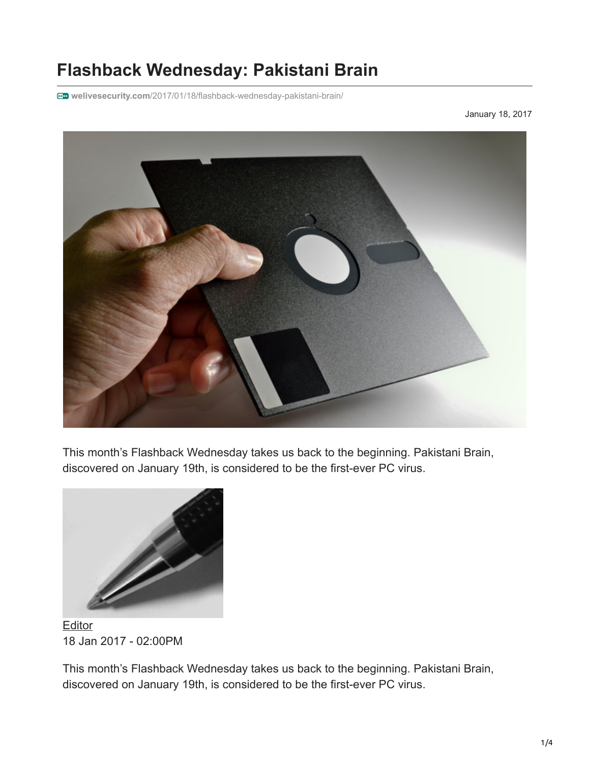# **Flashback Wednesday: Pakistani Brain**

**welivesecurity.com**[/2017/01/18/flashback-wednesday-pakistani-brain/](https://www.welivesecurity.com/2017/01/18/flashback-wednesday-pakistani-brain/)

January 18, 2017



This month's Flashback Wednesday takes us back to the beginning. Pakistani Brain, discovered on January 19th, is considered to be the first-ever PC virus.



**[Editor](https://www.welivesecurity.com/author/editorla/)** 18 Jan 2017 - 02:00PM

This month's Flashback Wednesday takes us back to the beginning. Pakistani Brain, discovered on January 19th, is considered to be the first-ever PC virus.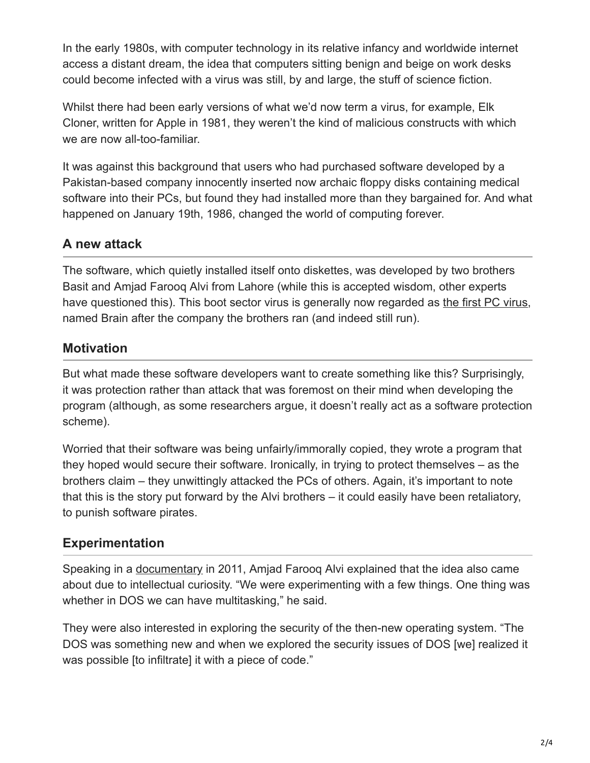In the early 1980s, with computer technology in its relative infancy and worldwide internet access a distant dream, the idea that computers sitting benign and beige on work desks could become infected with a virus was still, by and large, the stuff of science fiction.

Whilst there had been early versions of what we'd now term a virus, for example, Elk Cloner, written for Apple in 1981, they weren't the kind of malicious constructs with which we are now all-too-familiar.

It was against this background that users who had purchased software developed by a Pakistan-based company innocently inserted now archaic floppy disks containing medical software into their PCs, but found they had installed more than they bargained for. And what happened on January 19th, 1986, changed the world of computing forever.

#### **A new attack**

The software, which quietly installed itself onto diskettes, was developed by two brothers Basit and Amjad Farooq Alvi from Lahore (while this is accepted wisdom, other experts have questioned this). This boot sector virus is generally now regarded as [the first PC virus,](http://news.bbc.co.uk/1/hi/technology/4630910.stm) named Brain after the company the brothers ran (and indeed still run).

# **Motivation**

But what made these software developers want to create something like this? Surprisingly, it was protection rather than attack that was foremost on their mind when developing the program (although, as some researchers argue, it doesn't really act as a software protection scheme).

Worried that their software was being unfairly/immorally copied, they wrote a program that they hoped would secure their software. Ironically, in trying to protect themselves – as the brothers claim – they unwittingly attacked the PCs of others. Again, it's important to note that this is the story put forward by the Alvi brothers – it could easily have been retaliatory, to punish software pirates.

# **Experimentation**

Speaking in a [documentary](https://www.youtube.com/watch?v=WwKN6iDR_LM) in 2011, Amjad Farooq Alvi explained that the idea also came about due to intellectual curiosity. "We were experimenting with a few things. One thing was whether in DOS we can have multitasking," he said.

They were also interested in exploring the security of the then-new operating system. "The DOS was something new and when we explored the security issues of DOS [we] realized it was possible [to infiltrate] it with a piece of code."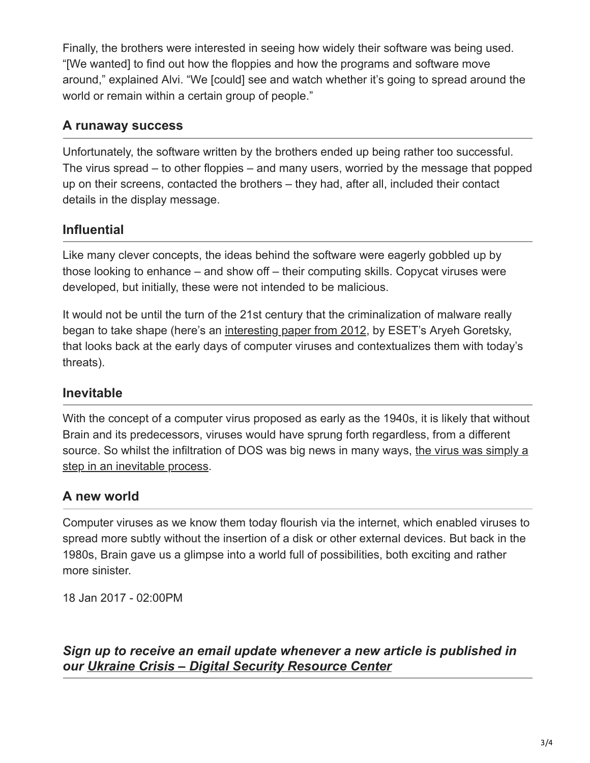Finally, the brothers were interested in seeing how widely their software was being used. "[We wanted] to find out how the floppies and how the programs and software move around," explained Alvi. "We [could] see and watch whether it's going to spread around the world or remain within a certain group of people."

#### **A runaway success**

Unfortunately, the software written by the brothers ended up being rather too successful. The virus spread – to other floppies – and many users, worried by the message that popped up on their screens, contacted the brothers – they had, after all, included their contact details in the display message.

# **Influential**

Like many clever concepts, the ideas behind the software were eagerly gobbled up by those looking to enhance – and show off – their computing skills. Copycat viruses were developed, but initially, these were not intended to be malicious.

It would not be until the turn of the 21st century that the criminalization of malware really began to take shape (here's an [interesting paper from 2012](http://www.welivesecurity.com/media_files/white-papers/EsetWP-20YearsBeforeTheMouse.pdf), by ESET's Aryeh Goretsky, that looks back at the early days of computer viruses and contextualizes them with today's threats).

# **Inevitable**

With the concept of a computer virus proposed as early as the 1940s, it is likely that without Brain and its predecessors, viruses would have sprung forth regardless, from a different [source. So whilst the infiltration of DOS was big news in many ways, the virus was simply a](http://www.welivesecurity.com/2014/10/17/infographic-brief-history-of-malware/) step in an inevitable process.

# **A new world**

Computer viruses as we know them today flourish via the internet, which enabled viruses to spread more subtly without the insertion of a disk or other external devices. But back in the 1980s, Brain gave us a glimpse into a world full of possibilities, both exciting and rather more sinister.

18 Jan 2017 - 02:00PM

*Sign up to receive an email update whenever a new article is published in our [Ukraine Crisis – Digital Security Resource Center](https://www.welivesecurity.com/category/ukraine-crisis-digital-security-resource-center/)*